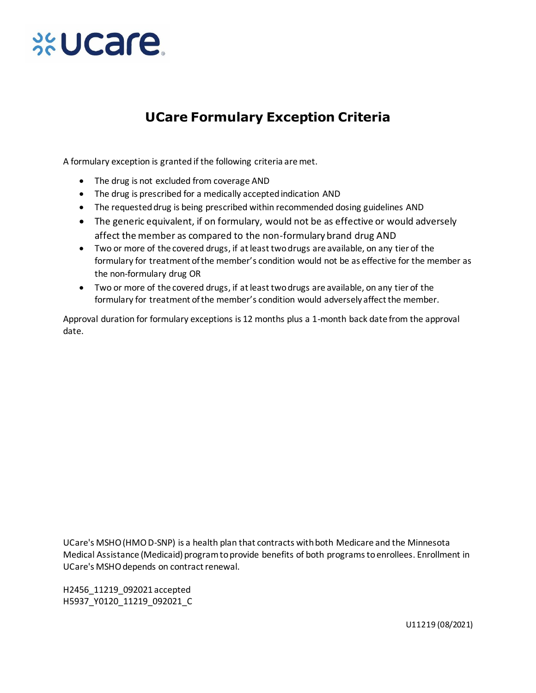

## **UCare Formulary Exception Criteria**

A formulary exception is granted if the following criteria are met.

- The drug is not excluded from coverage AND
- The drug is prescribed for a medically accepted indication AND
- The requested drug is being prescribed within recommended dosing guidelines AND
- The generic equivalent, if on formulary, would not be as effective or would adversely affect the member as compared to the non-formulary brand drug AND
- Two or more of the covered drugs, if at least two drugs are available, on any tier of the formulary for treatment of the member's condition would not be as effective for the member as the non-formulary drug OR
- Two or more of the covered drugs, if at least two drugs are available, on any tier of the formulary for treatment of the member's condition would adversely affect the member.

Approval duration for formulary exceptions is 12 months plus a 1-month back date from the approval date.

UCare's MSHO (HMO D-SNP) is a health plan that contracts with both Medicare and the Minnesota Medical Assistance (Medicaid) program to provide benefits of both programs to enrollees. Enrollment in UCare's MSHO depends on contract renewal.

H2456\_11219\_092021 accepted H5937\_Y0120\_11219\_092021\_C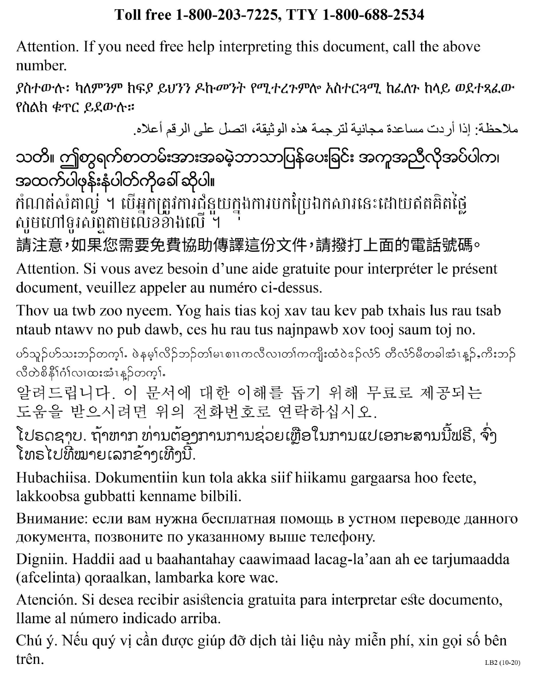# Toll free 1-800-203-7225, TTY 1-800-688-2534

Attention. If you need free help interpreting this document, call the above number.

ያስተውሉ፡ ካለምንም ክፍያ ይህንን ዶኩመንት የሚተረጉምሎ አስተርጓሚ ከፈለጉ ከላይ ወደተጻፈው የስልክ ቁጥር ይደውሉ።

ملاحظة: إذا أردت مساعدة مجانية لترجمة هذه الوثيقة، اتصل على الرقم أعلاه.

သတိ။ ဤစာရက်စာတမ်းအားအခမဲ့ဘာသာပြန်ပေးခြင်း အကူအညီလိုအပ်ပါက၊ အထက်ပါဖုန်းနံပါတ်ကိုခေါ် ဆိုပါ။

កំណត់សំគាល្ង ។ បើអ្នកត្រូវការជំនួយក្នុងការបកប្រែឯកសារនេះដោយឥតគិតថ្លៃ សូមហៅទូរស័ព្ទតាមលើខខាងលើ ។

請注意,如果您需要免費協助傳譯這份文件,請撥打上面的電話號碼。

Attention. Si vous avez besoin d'une aide gratuite pour interpréter le présent document, veuillez appeler au numéro ci-dessus.

Thov ua twb zoo nyeem. Yog hais tias koj xav tau kev pab txhais lus rau tsab ntaub ntawy no pub dawb, ces hu rau tus najnpawb xov tooj saum toj no.

ပ§သူဉ်ပ§သးဘဉ်တက့∫ႉ ဖဲနမ့ှ္လြဉ်ဘဉ်တျ်မၤစၢၤကလီလၢတ္ပါကကျိုးထံဝဲဒဉ်လံံ§ တီလံံ§မီတခါအံၤန္ဉွာ်ႇကိုးဘှဉ် လီတဲစိနိ<sup>1</sup>ဂံ1်လၢထးအံၤန္ ဉ်တက္s်.

알려드립니다. 이 문서에 대한 이해를 돕기 위해 무료로 제공되는 도움을 받으시려면 위의 전화번호로 연락하십시오.

ໂປຣດຊາບ. ຖ້າຫາກ ທ່ານຕ້ອງການການຊ່ວຍເຫຼືອໃນການແປເອກະສານນີ້ຟຣີ, ຈົ່ງ ໂທຣໄປທີ່ໝາຍເລກຂ້າງເທີງນີ້.

Hubachiisa. Dokumentiin kun tola akka siif hiikamu gargaarsa hoo feete, lakkoobsa gubbatti kenname bilbili.

Внимание: если вам нужна бесплатная помощь в устном переводе данного документа, позвоните по указанному выше телефону.

Digniin. Haddii aad u baahantahay caawimaad lacag-la'aan ah ee tarjumaadda (afcelinta) qoraalkan, lambarka kore wac.

Atención. Si desea recibir asistencia gratuita para interpretar este documento, llame al número indicado arriba.

Chú ý. Nếu quý vị cần được giúp đỡ dịch tài liệu này miễn phí, xin gọi số bên trên. LB2 (10-20)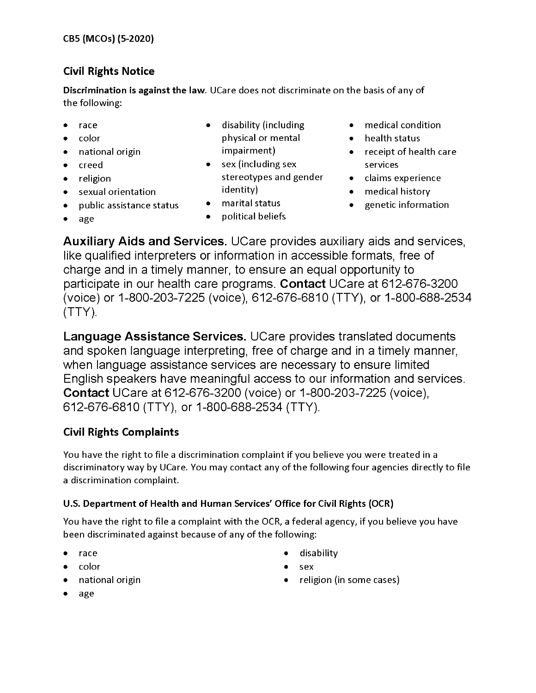## **Civil Rights Notice**

Discrimination is against the law. UCare does not discriminate on the basis of any of the following:

- race
- color  $\bullet$
- national origin  $\bullet$
- creed ٠
- religion

age

 $\bullet$ 

- sexual orientation  $\bullet$
- public assistance status  $\bullet$
- disability (including physical or mental impairment)
- $\bullet$  sex (including sex stereotypes and gender identity)
- marital status  $\bullet$
- political beliefs  $\bullet$
- medical condition
- health status
- receipt of health care services
- claims experience
- medical history
- genetic information  $\bullet$

**Auxiliary Aids and Services.** UCare provides auxiliary aids and services, like qualified interpreters or information in accessible formats, free of charge and in a timely manner, to ensure an equal opportunity to participate in our health care programs. Contact UCare at 612-676-3200 (voice) or 1-800-203-7225 (voice), 612-676-6810 (TTY), or 1-800-688-2534  $(TTY).$ 

Language Assistance Services. UCare provides translated documents and spoken language interpreting, free of charge and in a timely manner, when language assistance services are necessary to ensure limited English speakers have meaningful access to our information and services. **Contact** UCare at 612-676-3200 (voice) or 1-800-203-7225 (voice), 612-676-6810 (TTY), or 1-800-688-2534 (TTY).

### **Civil Rights Complaints**

You have the right to file a discrimination complaint if you believe you were treated in a discriminatory way by UCare. You may contact any of the following four agencies directly to file a discrimination complaint.

### U.S. Department of Health and Human Services' Office for Civil Rights (OCR)

You have the right to file a complaint with the OCR, a federal agency, if you believe you have been discriminated against because of any of the following:

- race
- color
- national origin
- disability  $\bullet$
- $\bullet$ sex
- religion (in some cases)

age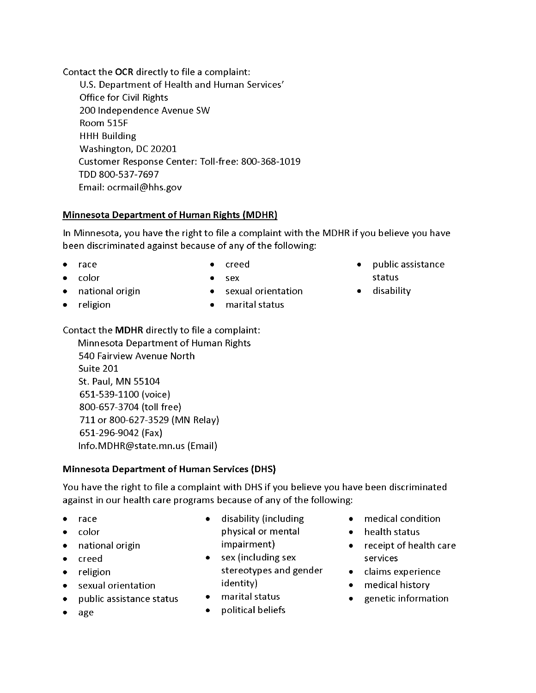Contact the OCR directly to file a complaint:

U.S. Department of Health and Human Services' **Office for Civil Rights** 200 Independence Avenue SW Room 515F **HHH Building** Washington, DC 20201 Customer Response Center: Toll-free: 800-368-1019 TDD 800-537-7697 Email: ocrmail@hhs.gov

### **Minnesota Department of Human Rights (MDHR)**

In Minnesota, you have the right to file a complaint with the MDHR if you believe you have been discriminated against because of any of the following:

race

 $\bullet$ creed

color

- sex
- national origin
- religion
- sexual orientation • marital status
- public assistance  $\bullet$ status
- disability

Contact the MDHR directly to file a complaint:

Minnesota Department of Human Rights 540 Fairview Avenue North Suite 201 St. Paul, MN 55104 651-539-1100 (voice) 800-657-3704 (toll free) 711 or 800-627-3529 (MN Relay) 651-296-9042 (Fax) Info. MDHR@state.mn.us (Email)

### **Minnesota Department of Human Services (DHS)**

You have the right to file a complaint with DHS if you believe you have been discriminated against in our health care programs because of any of the following:

- race
- color  $\bullet$
- national origin
- creed
- religion  $\bullet$
- sexual orientation  $\bullet$
- public assistance status
- age
- $\bullet$ disability (including physical or mental impairment)
- $\bullet$  sex (including sex stereotypes and gender identity)
- marital status  $\bullet$  .
- political beliefs
- medical condition
- $\bullet$ health status
- receipt of health care services
- claims experience
- medical history
- genetic information  $\bullet$  .